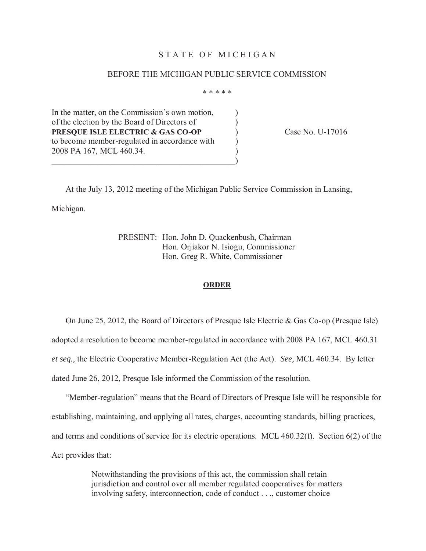## STATE OF MICHIGAN

## BEFORE THE MICHIGAN PUBLIC SERVICE COMMISSION

\* \* \* \* \*

In the matter, on the Commission's own motion, of the election by the Board of Directors of  $\qquad \qquad$  )  **PRESQUE ISLE ELECTRIC & GAS CO-OP** ) Case No. U-17016 to become member-regulated in accordance with  $\qquad \qquad$  ) 2008 PA 167, MCL 460.34.

 $\hspace{.5cm}$   $\hspace{.5cm}$   $\hspace{.5cm}$   $\hspace{.5cm}$   $\hspace{.5cm}$   $\hspace{.5cm}$   $\hspace{.5cm}$   $\hspace{.5cm}$   $\hspace{.5cm}$   $\hspace{.5cm}$   $\hspace{.5cm}$   $\hspace{.5cm}$   $\hspace{.5cm}$   $\hspace{.5cm}$   $\hspace{.5cm}$   $\hspace{.5cm}$   $\hspace{.5cm}$   $\hspace{.5cm}$   $\hspace{.5cm}$   $\hspace{.5cm}$ 

At the July 13, 2012 meeting of the Michigan Public Service Commission in Lansing, Michigan.

> PRESENT: Hon. John D. Quackenbush, Chairman Hon. Orjiakor N. Isiogu, Commissioner Hon. Greg R. White, Commissioner

#### **ORDER**

 adopted a resolution to become member-regulated in accordance with 2008 PA 167, MCL 460.31 *et seq.,* the Electric Cooperative Member-Regulation Act (the Act). *See,* MCL 460.34. By letter dated June 26, 2012, Presque Isle informed the Commission of the resolution. On June 25, 2012, the Board of Directors of Presque Isle Electric & Gas Co-op (Presque Isle)

 "Member-regulation" means that the Board of Directors of Presque Isle will be responsible for establishing, maintaining, and applying all rates, charges, accounting standards, billing practices, and terms and conditions of service for its electric operations. MCL 460.32(f). Section 6(2) of the Act provides that:

> Notwithstanding the provisions of this act, the commission shall retain jurisdiction and control over all member regulated cooperatives for matters involving safety, interconnection, code of conduct . . ., customer choice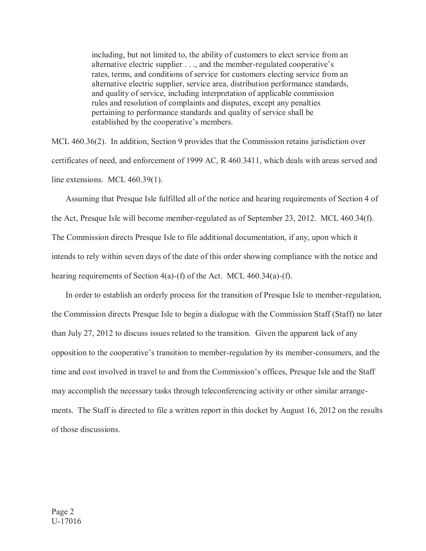including, but not limited to, the ability of customers to elect service from an alternative electric supplier . . ., and the member-regulated cooperative's rates, terms, and conditions of service for customers electing service from an alternative electric supplier, service area, distribution performance standards, and quality of service, including interpretation of applicable commission rules and resolution of complaints and disputes, except any penalties pertaining to performance standards and quality of service shall be established by the cooperative's members.

 MCL 460.36(2). In addition, Section 9 provides that the Commission retains jurisdiction over certificates of need, and enforcement of 1999 AC, R 460.3411, which deals with areas served and line extensions. MCL 460.39(1).

 Assuming that Presque Isle fulfilled all of the notice and hearing requirements of Section 4 of the Act, Presque Isle will become member-regulated as of September 23, 2012. MCL 460.34(f). The Commission directs Presque Isle to file additional documentation, if any, upon which it intends to rely within seven days of the date of this order showing compliance with the notice and hearing requirements of Section 4(a)-(f) of the Act. MCL 460.34(a)-(f).

 the Commission directs Presque Isle to begin a dialogue with the Commission Staff (Staff) no later than July 27, 2012 to discuss issues related to the transition. Given the apparent lack of any opposition to the cooperative's transition to member-regulation by its member-consumers, and the time and cost involved in travel to and from the Commission's offices, Presque Isle and the Staff may accomplish the necessary tasks through teleconferencing activity or other similar arrange- ments. The Staff is directed to file a written report in this docket by August 16, 2012 on the results In order to establish an orderly process for the transition of Presque Isle to member-regulation, of those discussions.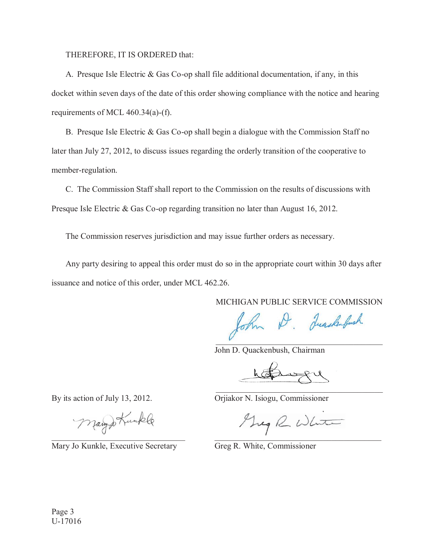THEREFORE, IT IS ORDERED that:

 docket within seven days of the date of this order showing compliance with the notice and hearing requirements of MCL 460.34(a)-(f). A. Presque Isle Electric & Gas Co-op shall file additional documentation, if any, in this

 later than July 27, 2012, to discuss issues regarding the orderly transition of the cooperative to member-regulation. B. Presque Isle Electric & Gas Co-op shall begin a dialogue with the Commission Staff no

 Presque Isle Electric & Gas Co-op regarding transition no later than August 16, 2012. C. The Commission Staff shall report to the Commission on the results of discussions with

The Commission reserves jurisdiction and may issue further orders as necessary.

 issuance and notice of this order, under MCL 462.26. Any party desiring to appeal this order must do so in the appropriate court within 30 days after

MICHIGAN PUBLIC SERVICE COMMISSION

John D. Juackenbush  $\overline{V}$ 

John D. Quackenbush, Chairman

expl

By its action of July 13, 2012.

Mary Jo Kunkle, Executive Secretary Greg R. White, Commissioner

Orjiakor N. Isiogu, Commissioner

 $\vee$  . The contract of the contract of the contract of the contract of the contract of the contract of the contract of the contract of the contract of the contract of the contract of the contract of the contract of the c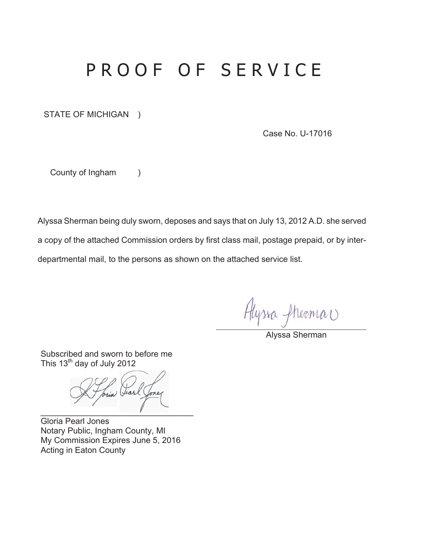## PROOF OF SERVICE

STATE OF MICHIGAN )

Case No. U-17016

County of Ingham (

Alyssa Sherman being duly sworn, deposes and says that on July 13, 2012 A.D. she served a copy of the attached Commission orders by first class mail, postage prepaid, or by interdepartmental mail, to the persons as shown on the attached service list.

Hlyssa fheema

Alyssa Sherman

Subscribed and sworn to before me This  $13<sup>th</sup>$  day of July 2012

Jearl  $\blacksquare$ 

Gloria Pearl Jones Notary Public, Ingham County, MI My Commission Expires June 5, 2016 Acting in Eaton County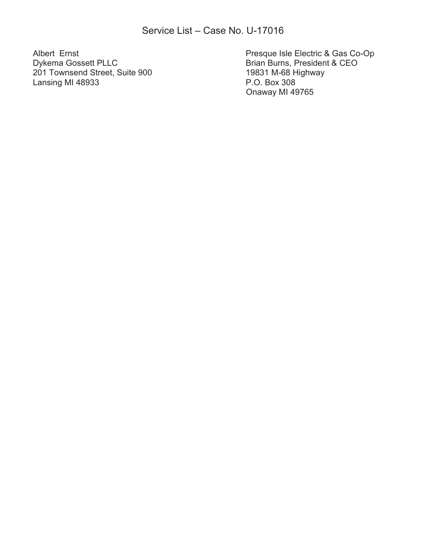201 Townsend Street, Suite 900 19831 M-68 H<br>Lansing MI 48933 P.O. Box 308 Lansing MI 48933

Albert Ernst Presque Isle Electric & Gas Co-Op Brian Burns, President & CEO<br>19831 M-68 Highway Onaway MI 49765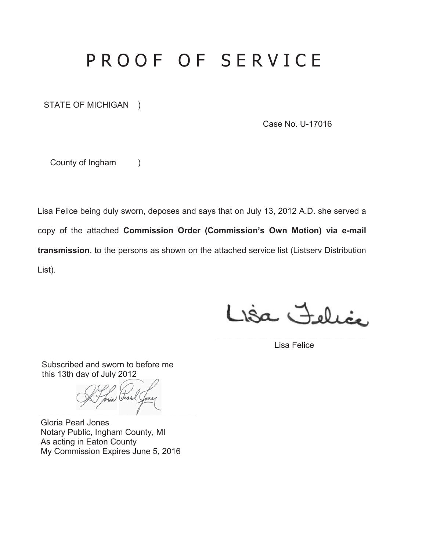# PROOF OF SERVICE

STATE OF MICHIGAN )

Case No. U-17016

County of Ingham )

Lisa Felice being duly sworn, deposes and says that on July 13, 2012 A.D. she served a copy of the attached **Commission Order (Commission's Own Motion) via e-mail transmission**, to the persons as shown on the attached service list (Listserv Distribution List).

Lisa Felice

Lisa Felice

Subscribed and sworn to before me this 13th day of July 2012

Tria Jear  $\blacksquare$ 

Gloria Pearl Jones Notary Public, Ingham County, MI As acting in Eaton County My Commission Expires June 5, 2016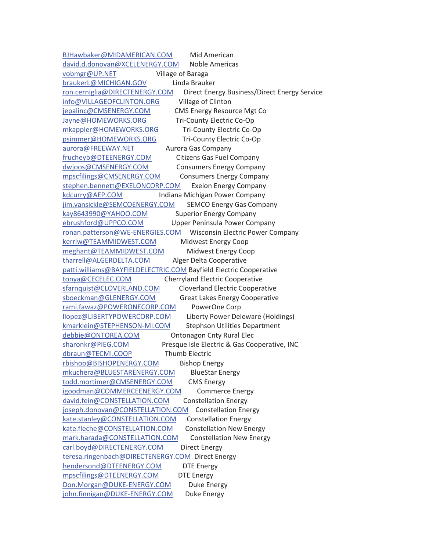BJHawbaker@MIDAMERICAN.COM Mid American david.d.donovan@XCELENERGY.COM Noble Americas vobmgr@UP.NET Village of Baraga braukerL@MICHIGAN.GOV Linda Brauker ron.cerniglia@DIRECTENERGY.COM Direct Energy Business/Direct Energy Service info@VILLAGEOFCLINTON.ORG Village of Clinton jepalinc@CMSENERGY.COM CMS Energy Resource Mgt Co Jayne@HOMEWORKS.ORG Tri-County Electric Co-Op mkappler@HOMEWORKS.ORG Tri-County Electric Co-Op psimmer@HOMEWORKS.ORG Tri-County Electric Co-Op aurora@FREEWAY.NET<br>Aurora Gas Company frucheyb@DTEENERGY.COM Citizens Gas Fuel Company dwjoos@CMSENERGY.COM Consumers Energy Company mpscfilings@CMSENERGY.COM Consumers Energy Company stephen.bennett@EXELONCORP.COM Exelon Energy Company kdcurry@AEP.COM lndiana Michigan Power Company jim.vansickle@SEMCOENERGY.COM SEMCO Energy Gas Company kay8643990@YAHOO.COM Superior Energy Company ebrushford@UPPCO.COM Upper Peninsula Power Company ronan.patterson@WE-ENERGIES.COM Wisconsin Electric Power Company kerriw@TEAMMIDWEST.COM Midwest Energy Coop meghant@TEAMMIDWEST.COM Midwest Energy Coop tharrell@ALGERDELTA.COM Alger Delta Cooperative patti.williams@BAYFIELDELECTRIC.COM Bayfield Electric Cooperative tonya@CECELEC.COM Cherryland Electric Cooperative sfarnquist@CLOVERLAND.COM Cloverland Electric Cooperative sboeckman@GLENERGY.COM Great Lakes Energy Cooperative rami.fawaz@POWERONECORP.COM PowerOne Corp llopez@LIBERTYPOWERCORP.COM Liberty Power Deleware (Holdings) kmarklein@STEPHENSON-MI.COM Stephson Utilities Department debbie@ONTOREA.COM Ontonagon Cnty Rural Elec sharonkr@PIEG.COM Presque Isle Electric & Gas Cooperative, INC dbraun@TECMI.COOP Thumb Electric rbishop@BISHOPENERGY.COM Bishop Energy mkuchera@BLUESTARENERGY.COM BlueStar Energy todd.mortimer@CMSENERGY.COM CMS Energy igoodman@COMMERCEENERGY.COM Commerce Energy david.fein@CONSTELLATION.COM Constellation Energy joseph.donovan@CONSTELLATION.COM Constellation Energy kate.stanley@CONSTELLATION.COM Constellation Energy kate.fleche@CONSTELLATION.COM Constellation New Energy mark.harada@CONSTELLATION.COM Constellation New Energy carl.boyd@DIRECTENERGY.COM Direct Energy teresa.ringenbach@DIRECTENERGY.COM Direct Energy hendersond@DTEENERGY.COM DTE Energy mpscfilings@DTEENERGY.COM DTE Energy Don.Morgan@DUKE-ENERGY.COM Duke Energy john.finnigan@DUKE-ENERGY.COM Duke Energy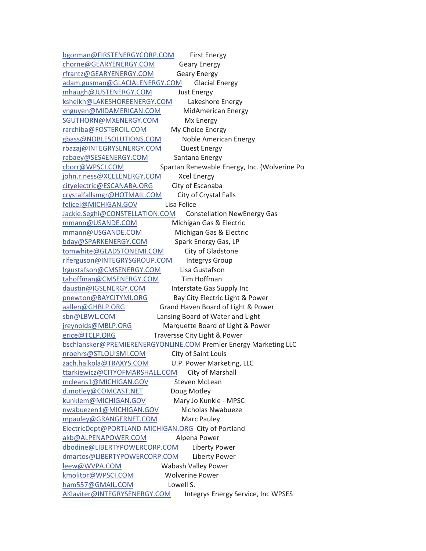bgorman@FIRSTENERGYCORP.COM First Energy chorne@GEARYENERGY.COM Geary Energy rfrantz@GEARYENERGY.COM Geary Energy adam.gusman@GLACIALENERGY.COM Glacial Energy mhaugh@JUSTENERGY.COM Just Energy ksheikh@LAKESHOREENERGY.COM Lakeshore Energy vnguyen@MIDAMERICAN.COM MidAmerican Energy SGUTHORN@MXENERGY.COM Mx Energy rarchiba@FOSTEROIL.COM My Choice Energy gbass@NOBLESOLUTIONS.COM Noble American Energy rbazaj@INTEGRYSENERGY.COM Quest Energy rabaey@SES4ENERGY.COM Santana Energy cborr@WPSCI.COM Spartan Renewable Energy, Inc. (Wolverine Po john.r.ness@XCELENERGY.COM Xcel Energy cityelectric@ESCANABA.ORG City of Escanaba crystalfallsmgr@HOTMAIL.COM City of Crystal Falls felicel@MICHIGAN.GOV Lisa Felice Jackie.Seghi@CONSTELLATION.COM Constellation NewEnergy Gas mmann@USANDE.COM Michigan Gas & Electric mmann@USGANDE.COM Michigan Gas & Electric bday@SPARKENERGY.COM Spark Energy Gas, LP tomwhite@GLADSTONEMI.COM City of Gladstone rlferguson@INTEGRYSGROUP.COM lntegrys Group lrgustafson@CMSENERGY.COM Lisa Gustafson tahoffman@CMSENERGY.COM Tim Hoffman daustin@IGSENERGY.COM Interstate Gas Supply Inc pnewton@BAYCITYMI.ORG Bay City Electric Light & Power aallen@GHBLP.ORG Grand Haven Board of Light & Power sbn@LBWL.COM Lansing Board of Water and Light jreynolds@MBLP.ORG Marquette Board of Light & Power erice@TCLP.ORG Traversse City Light & Power bschlansker@PREMIERENERGYONLINE.COM Premier Energy Marketing LLC nroehrs@STLOUISMI.COM City of Saint Louis zach.halkola@TRAXYS.COM U.P. Power Marketing, LLC ttarkiewicz@CITYOFMARSHALL.COM City of Marshall mcleans1@MICHIGAN.GOV Steven McLean d.motley@COMCAST.NET Doug Motley kunklem@MICHIGAN.GOV Mary Jo Kunkle - MPSC nwabuezen1@MICHIGAN.GOV Nicholas Nwabueze mpauley@GRANGERNET.COM Marc Pauley ElectricDept@PORTLAND-MICHIGAN.ORG City of Portland akb@ALPENAPOWER.COM Alpena Power dbodine@LIBERTYPOWERCORP.COM Liberty Power dmartos@LIBERTYPOWERCORP.COM Liberty Power leew@WVPA.COM Wabash Valley Power kmolitor@WPSCI.COM Wolverine Power ham557@GMAIL.COM Lowell S. AKlaviter@INTEGRYSENERGY.COM Integrys Energy Service, Inc WPSES